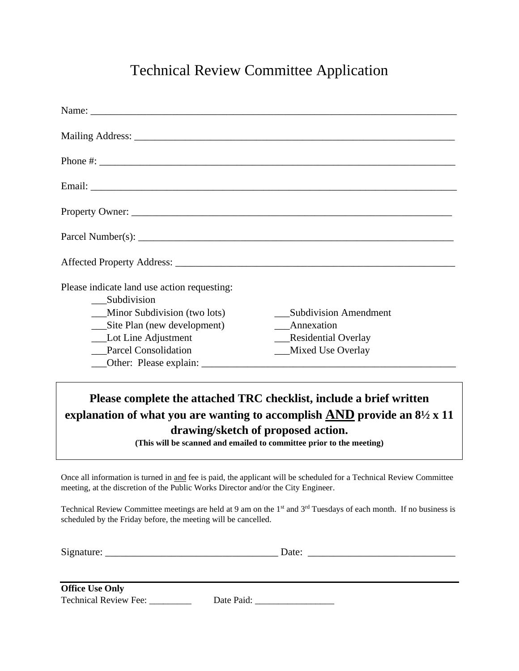## Technical Review Committee Application

| <b>Subdivision Amendment</b> |
|------------------------------|
| Annexation                   |
| Residential Overlay          |
| Mixed Use Overlay            |
|                              |
|                              |

## **Please complete the attached TRC checklist, include a brief written explanation of what you are wanting to accomplish AND provide an 8½ x 11 drawing/sketch of proposed action.**

**(This will be scanned and emailed to committee prior to the meeting)**

Once all information is turned in and fee is paid, the applicant will be scheduled for a Technical Review Committee meeting, at the discretion of the Public Works Director and/or the City Engineer.

Technical Review Committee meetings are held at 9 am on the 1<sup>st</sup> and 3<sup>rd</sup> Tuesdays of each month. If no business is scheduled by the Friday before, the meeting will be cancelled.

| $\sim$<br>- |  |  |
|-------------|--|--|
|             |  |  |
|             |  |  |

| <b>Office Use Only</b>       |            |
|------------------------------|------------|
|                              |            |
| <b>Technical Review Fee:</b> | Date Paid: |